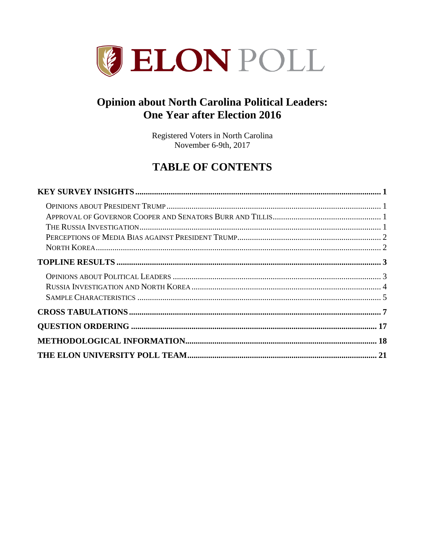

# **Opinion about North Carolina Political Leaders: One Year after Election 2016**

Registered Voters in North Carolina November 6-9th, 2017

# **TABLE OF CONTENTS**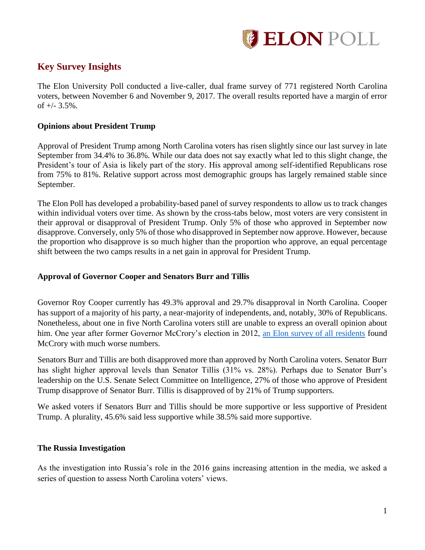

# <span id="page-1-0"></span>**Key Survey Insights**

The Elon University Poll conducted a live-caller, dual frame survey of 771 registered North Carolina voters, between November 6 and November 9, 2017. The overall results reported have a margin of error of  $+/- 3.5\%$ .

### <span id="page-1-1"></span>**Opinions about President Trump**

Approval of President Trump among North Carolina voters has risen slightly since our last survey in late September from 34.4% to 36.8%. While our data does not say exactly what led to this slight change, the President's tour of Asia is likely part of the story. His approval among self-identified Republicans rose from 75% to 81%. Relative support across most demographic groups has largely remained stable since September.

The Elon Poll has developed a probability-based panel of survey respondents to allow us to track changes within individual voters over time. As shown by the cross-tabs below, most voters are very consistent in their approval or disapproval of President Trump. Only 5% of those who approved in September now disapprove. Conversely, only 5% of those who disapproved in September now approve. However, because the proportion who disapprove is so much higher than the proportion who approve, an equal percentage shift between the two camps results in a net gain in approval for President Trump.

### <span id="page-1-2"></span>**Approval of Governor Cooper and Senators Burr and Tillis**

Governor Roy Cooper currently has 49.3% approval and 29.7% disapproval in North Carolina. Cooper has support of a majority of his party, a near-majority of independents, and, notably, 30% of Republicans. Nonetheless, about one in five North Carolina voters still are unable to express an overall opinion about him. One year after former Governor McCrory's election in 2012, [an Elon survey of all residents](https://www.elon.edu/docs/e-web/elonpoll/112213_ElonPoll_ExecSummary.pdf#page=10) found McCrory with much worse numbers.

Senators Burr and Tillis are both disapproved more than approved by North Carolina voters. Senator Burr has slight higher approval levels than Senator Tillis (31% vs. 28%). Perhaps due to Senator Burr's leadership on the U.S. Senate Select Committee on Intelligence, 27% of those who approve of President Trump disapprove of Senator Burr. Tillis is disapproved of by 21% of Trump supporters.

We asked voters if Senators Burr and Tillis should be more supportive or less supportive of President Trump. A plurality, 45.6% said less supportive while 38.5% said more supportive.

### <span id="page-1-3"></span>**The Russia Investigation**

As the investigation into Russia's role in the 2016 gains increasing attention in the media, we asked a series of question to assess North Carolina voters' views.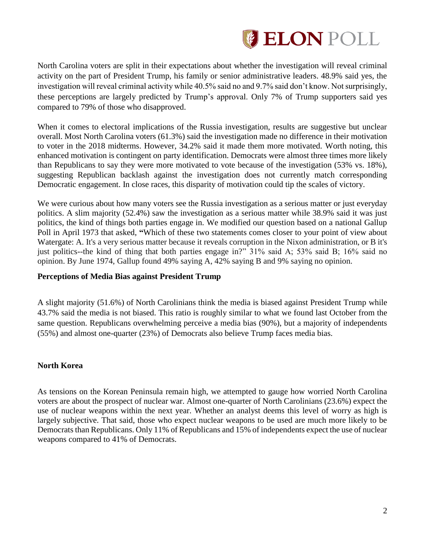

North Carolina voters are split in their expectations about whether the investigation will reveal criminal activity on the part of President Trump, his family or senior administrative leaders. 48.9% said yes, the investigation will reveal criminal activity while 40.5% said no and 9.7% said don't know. Not surprisingly, these perceptions are largely predicted by Trump's approval. Only 7% of Trump supporters said yes compared to 79% of those who disapproved.

When it comes to electoral implications of the Russia investigation, results are suggestive but unclear overall. Most North Carolina voters (61.3%) said the investigation made no difference in their motivation to voter in the 2018 midterms. However, 34.2% said it made them more motivated. Worth noting, this enhanced motivation is contingent on party identification. Democrats were almost three times more likely than Republicans to say they were more motivated to vote because of the investigation (53% vs. 18%), suggesting Republican backlash against the investigation does not currently match corresponding Democratic engagement. In close races, this disparity of motivation could tip the scales of victory.

We were curious about how many voters see the Russia investigation as a serious matter or just everyday politics. A slim majority (52.4%) saw the investigation as a serious matter while 38.9% said it was just politics, the kind of things both parties engage in. We modified our question based on a national Gallup Poll in April 1973 that asked, **"**Which of these two statements comes closer to your point of view about Watergate: A. It's a very serious matter because it reveals corruption in the Nixon administration, or B it's just politics--the kind of thing that both parties engage in?" 31% said A; 53% said B; 16% said no opinion. By June 1974, Gallup found 49% saying A, 42% saying B and 9% saying no opinion.

### <span id="page-2-0"></span>**Perceptions of Media Bias against President Trump**

A slight majority (51.6%) of North Carolinians think the media is biased against President Trump while 43.7% said the media is not biased. This ratio is roughly similar to what we found last October from the same question. Republicans overwhelming perceive a media bias (90%), but a majority of independents (55%) and almost one-quarter (23%) of Democrats also believe Trump faces media bias.

### <span id="page-2-1"></span>**North Korea**

As tensions on the Korean Peninsula remain high, we attempted to gauge how worried North Carolina voters are about the prospect of nuclear war. Almost one-quarter of North Carolinians (23.6%) expect the use of nuclear weapons within the next year. Whether an analyst deems this level of worry as high is largely subjective. That said, those who expect nuclear weapons to be used are much more likely to be Democrats than Republicans. Only 11% of Republicans and 15% of independents expect the use of nuclear weapons compared to 41% of Democrats.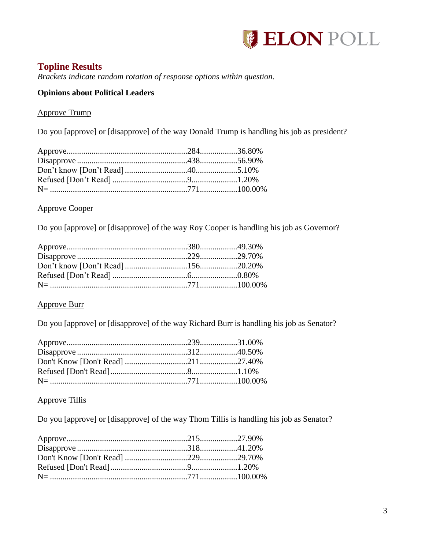

# <span id="page-3-0"></span>**Topline Results**

*Brackets indicate random rotation of response options within question.*

## <span id="page-3-1"></span>**Opinions about Political Leaders**

### Approve Trump

Do you [approve] or [disapprove] of the way Donald Trump is handling his job as president?

| $N = 100000\%$ |  |
|----------------|--|

### Approve Cooper

Do you [approve] or [disapprove] of the way Roy Cooper is handling his job as Governor?

### Approve Burr

Do you [approve] or [disapprove] of the way Richard Burr is handling his job as Senator?

### Approve Tillis

Do you [approve] or [disapprove] of the way Thom Tillis is handling his job as Senator?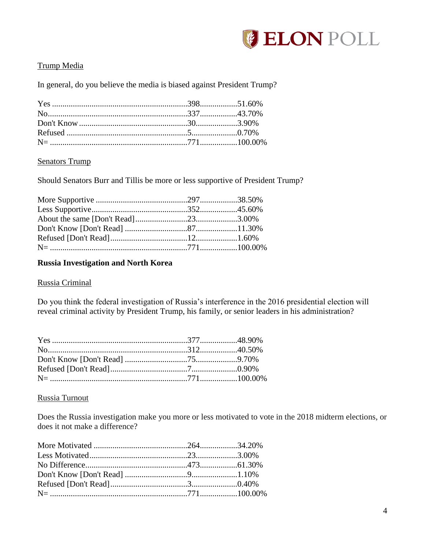

### Trump Media

In general, do you believe the media is biased against President Trump?

### Senators Trump

Should Senators Burr and Tillis be more or less supportive of President Trump?

## <span id="page-4-0"></span>**Russia Investigation and North Korea**

### Russia Criminal

Do you think the federal investigation of Russia's interference in the 2016 presidential election will reveal criminal activity by President Trump, his family, or senior leaders in his administration?

### Russia Turnout

Does the Russia investigation make you more or less motivated to vote in the 2018 midterm elections, or does it not make a difference?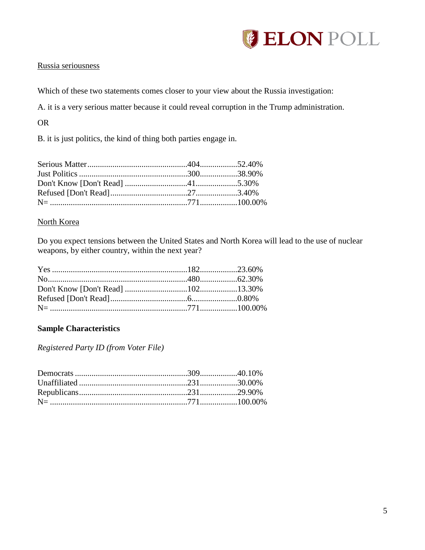

### Russia seriousness

Which of these two statements comes closer to your view about the Russia investigation:

A. it is a very serious matter because it could reveal corruption in the Trump administration.

OR

B. it is just politics, the kind of thing both parties engage in.

### North Korea

Do you expect tensions between the United States and North Korea will lead to the use of nuclear weapons, by either country, within the next year?

### <span id="page-5-0"></span>**Sample Characteristics**

*Registered Party ID (from Voter File)*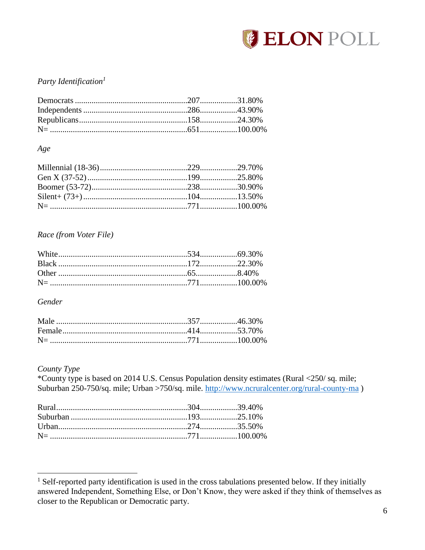

### Party Identification<sup>1</sup>

Age

### Race (from Voter File)

Gender

### County Type

\*County type is based on 2014 U.S. Census Population density estimates (Rural <250/sq. mile; Suburban 250-750/sq. mile; Urban >750/sq. mile. http://www.ncruralcenter.org/rural-county-ma)

<sup>&</sup>lt;sup>1</sup> Self-reported party identification is used in the cross tabulations presented below. If they initially answered Independent, Something Else, or Don't Know, they were asked if they think of themselves as closer to the Republican or Democratic party.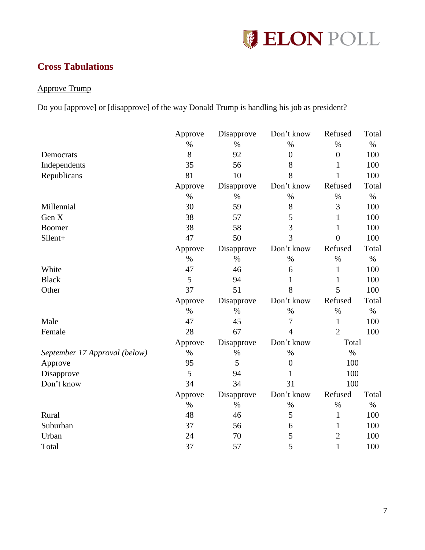

# <span id="page-7-0"></span>**Cross Tabulations**

## Approve Trump

Do you [approve] or [disapprove] of the way Donald Trump is handling his job as president?

|                               | Approve | Disapprove | Don't know     | Refused        | Total |
|-------------------------------|---------|------------|----------------|----------------|-------|
|                               | $\%$    | $\%$       | $\%$           | $\%$           | $\%$  |
| Democrats                     | 8       | 92         | $\overline{0}$ | $\overline{0}$ | 100   |
| Independents                  | 35      | 56         | 8              | 1              | 100   |
| Republicans                   | 81      | 10         | 8              | $\mathbf{1}$   | 100   |
|                               | Approve | Disapprove | Don't know     | Refused        | Total |
|                               | $\%$    | $\%$       | $\%$           | $\%$           | $\%$  |
| Millennial                    | 30      | 59         | 8              | 3              | 100   |
| Gen X                         | 38      | 57         | 5              | 1              | 100   |
| <b>Boomer</b>                 | 38      | 58         | 3              | 1              | 100   |
| Silent+                       | 47      | 50         | 3              | $\theta$       | 100   |
|                               | Approve | Disapprove | Don't know     | Refused        | Total |
|                               | $\%$    | $\%$       | $\%$           | $\%$           | $\%$  |
| White                         | 47      | 46         | 6              | 1              | 100   |
| <b>Black</b>                  | 5       | 94         | 1              | 1              | 100   |
| Other                         | 37      | 51         | 8              | 5              | 100   |
|                               | Approve | Disapprove | Don't know     | Refused        | Total |
|                               | $\%$    | $\%$       | $\%$           | $\%$           | $\%$  |
| Male                          | 47      | 45         | 7              | $\mathbf{1}$   | 100   |
| Female                        | 28      | 67         | $\overline{4}$ | $\overline{2}$ | 100   |
|                               | Approve | Disapprove | Don't know     | Total          |       |
| September 17 Approval (below) | $\%$    | $\%$       | $\%$           | $\%$           |       |
| Approve                       | 95      | 5          | $\overline{0}$ | 100            |       |
| Disapprove                    | 5       | 94         | 1              | 100            |       |
| Don't know                    | 34      | 34         | 31             | 100            |       |
|                               | Approve | Disapprove | Don't know     | Refused        | Total |
|                               | $\%$    | $\%$       | $\%$           | $\%$           | $\%$  |
| Rural                         | 48      | 46         | 5              | 1              | 100   |
| Suburban                      | 37      | 56         | 6              | 1              | 100   |
| Urban                         | 24      | 70         | 5              | $\overline{2}$ | 100   |
| Total                         | 37      | 57         | 5              | $\mathbf{1}$   | 100   |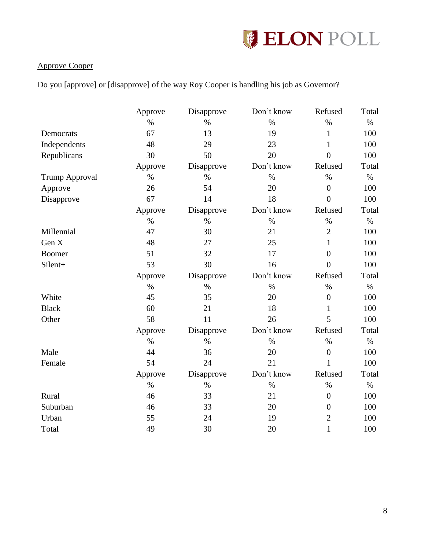

### Approve Cooper

Do you [approve] or [disapprove] of the way Roy Cooper is handling his job as Governor?

|                       | Approve | Disapprove | Don't know | Refused          | Total |
|-----------------------|---------|------------|------------|------------------|-------|
|                       | $\%$    | $\%$       | $\%$       | $\%$             | $\%$  |
| Democrats             | 67      | 13         | 19         | $\mathbf{1}$     | 100   |
| Independents          | 48      | 29         | 23         | $\mathbf{1}$     | 100   |
| Republicans           | 30      | 50         | 20         | $\overline{0}$   | 100   |
|                       | Approve | Disapprove | Don't know | Refused          | Total |
| <b>Trump Approval</b> | $\%$    | $\%$       | $\%$       | $\%$             | $\%$  |
| Approve               | 26      | 54         | 20         | $\overline{0}$   | 100   |
| Disapprove            | 67      | 14         | 18         | $\overline{0}$   | 100   |
|                       | Approve | Disapprove | Don't know | Refused          | Total |
|                       | $\%$    | $\%$       | $\%$       | $\%$             | $\%$  |
| Millennial            | 47      | 30         | 21         | $\mathfrak{2}$   | 100   |
| Gen X                 | 48      | 27         | 25         | $\mathbf{1}$     | 100   |
| Boomer                | 51      | 32         | 17         | $\overline{0}$   | 100   |
| Silent+               | 53      | 30         | 16         | $\overline{0}$   | 100   |
|                       | Approve | Disapprove | Don't know | Refused          | Total |
|                       | $\%$    | $\%$       | $\%$       | $\%$             | $\%$  |
| White                 | 45      | 35         | 20         | $\overline{0}$   | 100   |
| <b>Black</b>          | 60      | 21         | 18         | $\mathbf{1}$     | 100   |
| Other                 | 58      | 11         | 26         | 5                | 100   |
|                       | Approve | Disapprove | Don't know | Refused          | Total |
|                       | $\%$    | $\%$       | $\%$       | $\%$             | $\%$  |
| Male                  | 44      | 36         | 20         | $\overline{0}$   | 100   |
| Female                | 54      | 24         | 21         | $\mathbf{1}$     | 100   |
|                       | Approve | Disapprove | Don't know | Refused          | Total |
|                       | $\%$    | $\%$       | $\%$       | $\%$             | $\%$  |
| Rural                 | 46      | 33         | 21         | $\overline{0}$   | 100   |
| Suburban              | 46      | 33         | 20         | $\boldsymbol{0}$ | 100   |
| Urban                 | 55      | 24         | 19         | $\overline{2}$   | 100   |
| Total                 | 49      | 30         | 20         | $\mathbf{1}$     | 100   |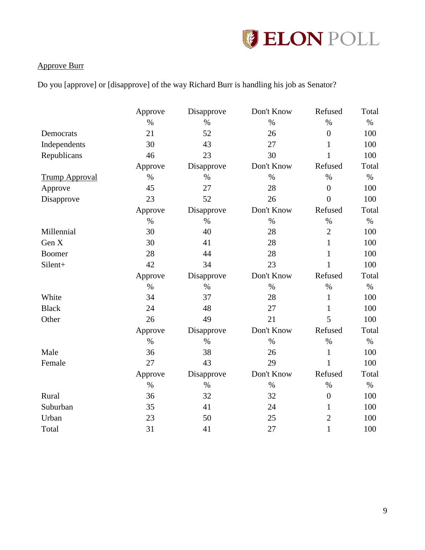

## Approve Burr

Do you [approve] or [disapprove] of the way Richard Burr is handling his job as Senator?

|                       | Approve | Disapprove | Don't Know | Refused          | Total |
|-----------------------|---------|------------|------------|------------------|-------|
|                       | $\%$    | $\%$       | $\%$       | $\%$             | $\%$  |
| Democrats             | 21      | 52         | 26         | $\overline{0}$   | 100   |
| Independents          | 30      | 43         | 27         | $\mathbf{1}$     | 100   |
| Republicans           | 46      | 23         | 30         | $\mathbf{1}$     | 100   |
|                       | Approve | Disapprove | Don't Know | Refused          | Total |
| <b>Trump Approval</b> | $\%$    | $\%$       | $\%$       | $\%$             | $\%$  |
| Approve               | 45      | 27         | 28         | $\boldsymbol{0}$ | 100   |
| Disapprove            | 23      | 52         | 26         | $\overline{0}$   | 100   |
|                       | Approve | Disapprove | Don't Know | Refused          | Total |
|                       | $\%$    | $\%$       | $\%$       | $\%$             | $\%$  |
| Millennial            | 30      | 40         | 28         | $\overline{2}$   | 100   |
| Gen X                 | 30      | 41         | 28         | $\mathbf{1}$     | 100   |
| <b>Boomer</b>         | 28      | 44         | 28         | $\mathbf{1}$     | 100   |
| Silent+               | 42      | 34         | 23         | $\mathbf{1}$     | 100   |
|                       | Approve | Disapprove | Don't Know | Refused          | Total |
|                       | $\%$    | $\%$       | $\%$       | $\%$             | $\%$  |
| White                 | 34      | 37         | 28         | $\mathbf{1}$     | 100   |
| <b>Black</b>          | 24      | 48         | 27         | $\mathbf{1}$     | 100   |
| Other                 | 26      | 49         | 21         | 5                | 100   |
|                       | Approve | Disapprove | Don't Know | Refused          | Total |
|                       | $\%$    | $\%$       | $\%$       | $\%$             | $\%$  |
| Male                  | 36      | 38         | 26         | $\mathbf{1}$     | 100   |
| Female                | 27      | 43         | 29         | $\mathbf{1}$     | 100   |
|                       | Approve | Disapprove | Don't Know | Refused          | Total |
|                       | $\%$    | $\%$       | $\%$       | $\%$             | $\%$  |
| Rural                 | 36      | 32         | 32         | $\boldsymbol{0}$ | 100   |
| Suburban              | 35      | 41         | 24         | $\mathbf{1}$     | 100   |
| Urban                 | 23      | 50         | 25         | $\overline{2}$   | 100   |
| Total                 | 31      | 41         | 27         | $\mathbf{1}$     | 100   |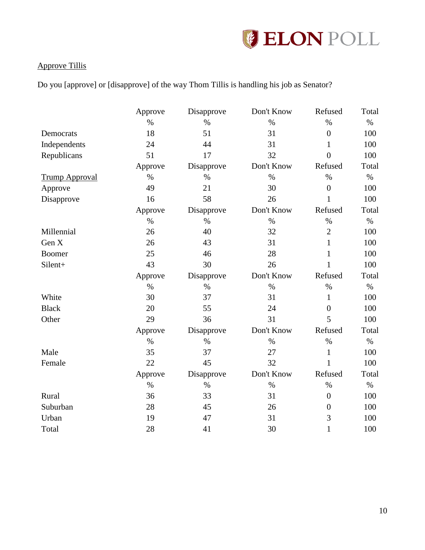

## Approve Tillis

Do you [approve] or [disapprove] of the way Thom Tillis is handling his job as Senator?

|                       | Approve | Disapprove | Don't Know | Refused          | Total |
|-----------------------|---------|------------|------------|------------------|-------|
|                       | $\%$    | $\%$       | $\%$       | $\%$             | $\%$  |
| Democrats             | 18      | 51         | 31         | $\boldsymbol{0}$ | 100   |
| Independents          | 24      | 44         | 31         | $\mathbf{1}$     | 100   |
| Republicans           | 51      | 17         | 32         | $\overline{0}$   | 100   |
|                       | Approve | Disapprove | Don't Know | Refused          | Total |
| <b>Trump Approval</b> | $\%$    | $\%$       | $\%$       | $\%$             | $\%$  |
| Approve               | 49      | 21         | 30         | $\overline{0}$   | 100   |
| Disapprove            | 16      | 58         | 26         | $\mathbf{1}$     | 100   |
|                       | Approve | Disapprove | Don't Know | Refused          | Total |
|                       | $\%$    | $\%$       | $\%$       | $\%$             | $\%$  |
| Millennial            | 26      | 40         | 32         | $\overline{2}$   | 100   |
| Gen X                 | 26      | 43         | 31         | $\mathbf{1}$     | 100   |
| Boomer                | 25      | 46         | 28         | 1                | 100   |
| Silent+               | 43      | 30         | 26         | $\mathbf{1}$     | 100   |
|                       | Approve | Disapprove | Don't Know | Refused          | Total |
|                       | $\%$    | $\%$       | $\%$       | $\%$             | $\%$  |
| White                 | 30      | 37         | 31         | $\mathbf{1}$     | 100   |
| <b>Black</b>          | 20      | 55         | 24         | $\boldsymbol{0}$ | 100   |
| Other                 | 29      | 36         | 31         | 5                | 100   |
|                       | Approve | Disapprove | Don't Know | Refused          | Total |
|                       | $\%$    | $\%$       | $\%$       | $\%$             | $\%$  |
| Male                  | 35      | 37         | 27         | $\mathbf{1}$     | 100   |
| Female                | 22      | 45         | 32         | $\mathbf{1}$     | 100   |
|                       | Approve | Disapprove | Don't Know | Refused          | Total |
|                       | $\%$    | $\%$       | $\%$       | $\%$             | $\%$  |
| Rural                 | 36      | 33         | 31         | $\overline{0}$   | 100   |
| Suburban              | 28      | 45         | 26         | $\overline{0}$   | 100   |
| Urban                 | 19      | 47         | 31         | 3                | 100   |
| Total                 | 28      | 41         | 30         | $\mathbf{1}$     | 100   |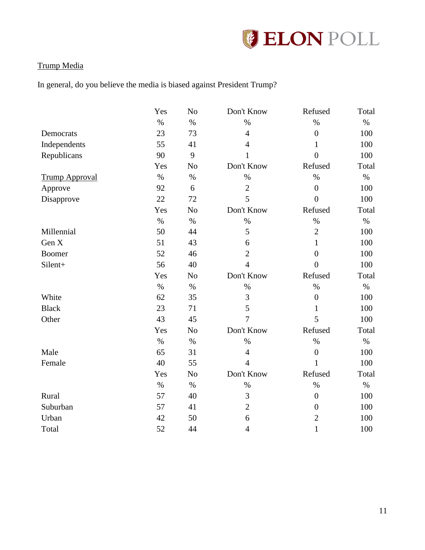

## Trump Media

In general, do you believe the media is biased against President Trump?

|                       | Yes  | No             | Don't Know     | Refused          | Total |
|-----------------------|------|----------------|----------------|------------------|-------|
|                       | $\%$ | $\%$           | $\%$           | $\%$             | $\%$  |
| Democrats             | 23   | 73             | $\overline{4}$ | $\overline{0}$   | 100   |
| Independents          | 55   | 41             | 4              | $\mathbf{1}$     | 100   |
| Republicans           | 90   | 9              | 1              | $\overline{0}$   | 100   |
|                       | Yes  | N <sub>o</sub> | Don't Know     | Refused          | Total |
| <b>Trump Approval</b> | $\%$ | $\%$           | $\%$           | $\%$             | $\%$  |
| Approve               | 92   | 6              | $\overline{2}$ | $\overline{0}$   | 100   |
| Disapprove            | 22   | 72             | 5              | $\overline{0}$   | 100   |
|                       | Yes  | N <sub>o</sub> | Don't Know     | Refused          | Total |
|                       | $\%$ | $\%$           | $\%$           | $\%$             | $\%$  |
| Millennial            | 50   | 44             | 5              | $\overline{2}$   | 100   |
| Gen X                 | 51   | 43             | 6              | $\mathbf{1}$     | 100   |
| <b>Boomer</b>         | 52   | 46             | $\overline{2}$ | $\overline{0}$   | 100   |
| Silent+               | 56   | 40             | $\overline{4}$ | $\overline{0}$   | 100   |
|                       | Yes  | N <sub>o</sub> | Don't Know     | Refused          | Total |
|                       | $\%$ | $\%$           | $\%$           | $\%$             | $\%$  |
| White                 | 62   | 35             | 3              | $\overline{0}$   | 100   |
| <b>Black</b>          | 23   | 71             | 5              | $\mathbf{1}$     | 100   |
| Other                 | 43   | 45             | $\overline{7}$ | 5                | 100   |
|                       | Yes  | N <sub>o</sub> | Don't Know     | Refused          | Total |
|                       | $\%$ | $\%$           | $\%$           | $\%$             | $\%$  |
| Male                  | 65   | 31             | $\overline{4}$ | $\boldsymbol{0}$ | 100   |
| Female                | 40   | 55             | $\overline{4}$ | $\mathbf{1}$     | 100   |
|                       | Yes  | No             | Don't Know     | Refused          | Total |
|                       | $\%$ | $\%$           | $\%$           | $\%$             | $\%$  |
| Rural                 | 57   | 40             | 3              | $\overline{0}$   | 100   |
| Suburban              | 57   | 41             | $\overline{2}$ | $\overline{0}$   | 100   |
| Urban                 | 42   | 50             | 6              | $\overline{2}$   | 100   |
| Total                 | 52   | 44             | $\overline{4}$ | $\mathbf{1}$     | 100   |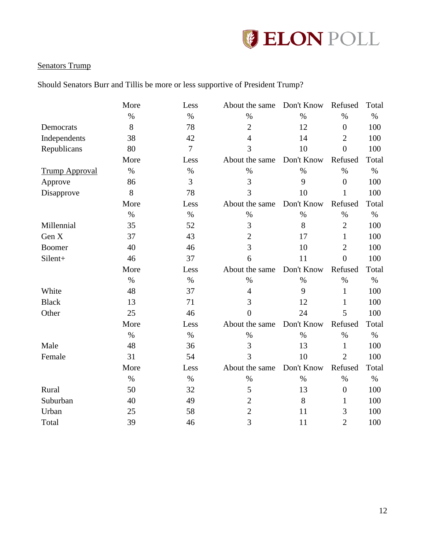

## Senators Trump

Should Senators Burr and Tillis be more or less supportive of President Trump?

|                       | More | Less           | About the same | Don't Know | Refused          | Total |
|-----------------------|------|----------------|----------------|------------|------------------|-------|
|                       | $\%$ | $\%$           | $\%$           | $\%$       | $\%$             | $\%$  |
| Democrats             | 8    | 78             | $\overline{2}$ | 12         | $\boldsymbol{0}$ | 100   |
| Independents          | 38   | 42             | $\overline{4}$ | 14         | $\overline{2}$   | 100   |
| Republicans           | 80   | $\overline{7}$ | 3              | 10         | $\overline{0}$   | 100   |
|                       | More | Less           | About the same | Don't Know | Refused          | Total |
| <b>Trump Approval</b> | $\%$ | $\%$           | $\%$           | $\%$       | $\%$             | $\%$  |
| Approve               | 86   | 3              | 3              | 9          | $\overline{0}$   | 100   |
| Disapprove            | 8    | 78             | 3              | 10         | $\mathbf{1}$     | 100   |
|                       | More | Less           | About the same | Don't Know | Refused          | Total |
|                       | $\%$ | $\%$           | $\%$           | $\%$       | $\%$             | $\%$  |
| Millennial            | 35   | 52             | 3              | 8          | $\overline{2}$   | 100   |
| Gen X                 | 37   | 43             | $\overline{2}$ | 17         | $\mathbf{1}$     | 100   |
| <b>Boomer</b>         | 40   | 46             | 3              | 10         | $\overline{2}$   | 100   |
| Silent+               | 46   | 37             | 6              | 11         | $\overline{0}$   | 100   |
|                       | More | Less           | About the same | Don't Know | Refused          | Total |
|                       | $\%$ | $\%$           | $\%$           | $\%$       | $\%$             | $\%$  |
| White                 | 48   | 37             | $\overline{4}$ | 9          | $\mathbf{1}$     | 100   |
| <b>Black</b>          | 13   | 71             | 3              | 12         | 1                | 100   |
| Other                 | 25   | 46             | $\theta$       | 24         | 5                | 100   |
|                       | More | Less           | About the same | Don't Know | Refused          | Total |
|                       | $\%$ | $\%$           | $\%$           | $\%$       | $\%$             | $\%$  |
| Male                  | 48   | 36             | 3              | 13         | $\mathbf{1}$     | 100   |
| Female                | 31   | 54             | 3              | 10         | $\overline{2}$   | 100   |
|                       | More | Less           | About the same | Don't Know | Refused          | Total |
|                       | $\%$ | $\%$           | $\%$           | $\%$       | $\%$             | $\%$  |
| Rural                 | 50   | 32             | 5              | 13         | $\boldsymbol{0}$ | 100   |
| Suburban              | 40   | 49             | $\overline{2}$ | 8          | 1                | 100   |
| Urban                 | 25   | 58             | $\mathfrak{2}$ | 11         | 3                | 100   |
| Total                 | 39   | 46             | 3              | 11         | $\overline{2}$   | 100   |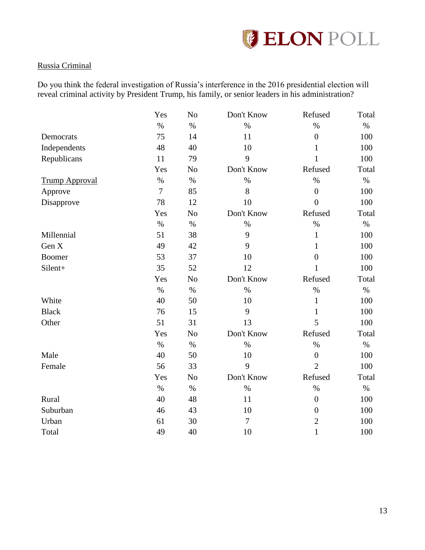

### Russia Criminal

Do you think the federal investigation of Russia's interference in the 2016 presidential election will reveal criminal activity by President Trump, his family, or senior leaders in his administration?

|                       | Yes            | N <sub>o</sub> | Don't Know     | Refused          | Total |
|-----------------------|----------------|----------------|----------------|------------------|-------|
|                       | $\%$           | $\%$           | $\%$           | $\%$             | $\%$  |
| Democrats             | 75             | 14             | 11             | $\boldsymbol{0}$ | 100   |
| Independents          | 48             | 40             | 10             | 1                | 100   |
| Republicans           | 11             | 79             | 9              | $\mathbf{1}$     | 100   |
|                       | Yes            | N <sub>o</sub> | Don't Know     | Refused          | Total |
| <b>Trump Approval</b> | $\%$           | $\%$           | $\%$           | $\%$             | $\%$  |
| Approve               | $\overline{7}$ | 85             | 8              | $\overline{0}$   | 100   |
| Disapprove            | 78             | 12             | 10             | $\overline{0}$   | 100   |
|                       | Yes            | N <sub>o</sub> | Don't Know     | Refused          | Total |
|                       | $\%$           | $\%$           | $\%$           | $\%$             | $\%$  |
| Millennial            | 51             | 38             | 9              | $\mathbf{1}$     | 100   |
| Gen X                 | 49             | 42             | 9              | $\mathbf{1}$     | 100   |
| <b>Boomer</b>         | 53             | 37             | 10             | $\overline{0}$   | 100   |
| Silent+               | 35             | 52             | 12             | 1                | 100   |
|                       | Yes            | No             | Don't Know     | Refused          | Total |
|                       | $\%$           | $\%$           | $\%$           | $\%$             | $\%$  |
| White                 | 40             | 50             | 10             | $\mathbf{1}$     | 100   |
| <b>Black</b>          | 76             | 15             | 9              | 1                | 100   |
| Other                 | 51             | 31             | 13             | 5                | 100   |
|                       | Yes            | No             | Don't Know     | Refused          | Total |
|                       | $\%$           | $\%$           | $\%$           | $\%$             | $\%$  |
| Male                  | 40             | 50             | 10             | $\boldsymbol{0}$ | 100   |
| Female                | 56             | 33             | 9              | $\overline{2}$   | 100   |
|                       | Yes            | N <sub>o</sub> | Don't Know     | Refused          | Total |
|                       | $\%$           | $\%$           | $\%$           | $\%$             | $\%$  |
| Rural                 | 40             | 48             | 11             | $\overline{0}$   | 100   |
| Suburban              | 46             | 43             | 10             | $\boldsymbol{0}$ | 100   |
| Urban                 | 61             | 30             | $\overline{7}$ | $\overline{2}$   | 100   |
| Total                 | 49             | 40             | 10             | $\mathbf{1}$     | 100   |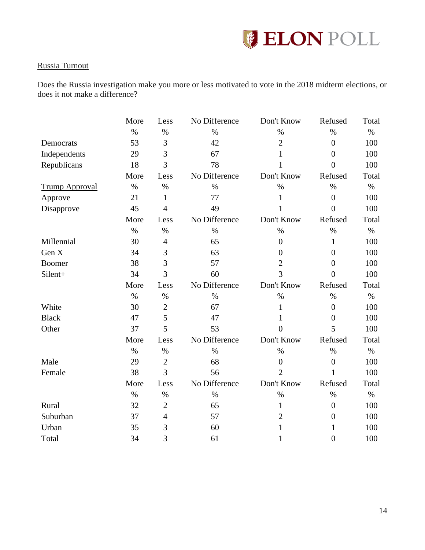

### Russia Turnout

Does the Russia investigation make you more or less motivated to vote in the 2018 midterm elections, or does it not make a difference?

|                       | More | Less           | No Difference | Don't Know     | Refused          | Total |
|-----------------------|------|----------------|---------------|----------------|------------------|-------|
|                       | $\%$ | $\%$           | $\%$          | $\%$           | $\%$             | $\%$  |
| Democrats             | 53   | 3              | 42            | $\overline{2}$ | $\boldsymbol{0}$ | 100   |
| Independents          | 29   | 3              | 67            | 1              | $\overline{0}$   | 100   |
| Republicans           | 18   | 3              | 78            | 1              | $\overline{0}$   | 100   |
|                       | More | Less           | No Difference | Don't Know     | Refused          | Total |
| <b>Trump Approval</b> | $\%$ | $\%$           | $\%$          | $\%$           | $\%$             | $\%$  |
| Approve               | 21   | $\mathbf{1}$   | 77<br>1       |                | $\overline{0}$   | 100   |
| Disapprove            | 45   | $\overline{4}$ | 49            | 1              | $\overline{0}$   | 100   |
|                       | More | Less           | No Difference | Don't Know     | Refused          | Total |
|                       | $\%$ | $\%$           | $\%$          | $\%$           | $\%$             | $\%$  |
| Millennial            | 30   | $\overline{4}$ | 65            | $\overline{0}$ | $\mathbf{1}$     | 100   |
| Gen X                 | 34   | 3              | 63            | $\overline{0}$ | $\overline{0}$   | 100   |
| <b>Boomer</b>         | 38   | 3              | 57            | $\overline{2}$ | $\overline{0}$   | 100   |
| Silent+               | 34   | 3              | 60            | 3              | $\overline{0}$   | 100   |
|                       | More | Less           | No Difference | Don't Know     | Refused          | Total |
|                       | $\%$ | $\%$           | $\%$          | $\%$           | $\%$             | $\%$  |
| White                 | 30   | $\overline{2}$ | 67            | $\mathbf{1}$   | $\overline{0}$   | 100   |
| <b>Black</b>          | 47   | 5              | 47            | 1              | $\boldsymbol{0}$ | 100   |
| Other                 | 37   | 5              | 53            | $\overline{0}$ | 5                | 100   |
|                       | More | Less           | No Difference | Don't Know     | Refused          | Total |
|                       | $\%$ | $\%$           | $\%$          | $\%$           | $\%$             | $\%$  |
| Male                  | 29   | $\mathbf{2}$   | 68            | $\overline{0}$ | $\boldsymbol{0}$ | 100   |
| Female                | 38   | 3              | 56            | $\overline{2}$ | 1                | 100   |
|                       | More | Less           | No Difference | Don't Know     | Refused          | Total |
|                       | $\%$ | $\%$           | $\%$          | $\%$           | $\%$             | $\%$  |
| Rural                 | 32   | $\overline{2}$ | 65            | $\mathbf{1}$   | $\overline{0}$   | 100   |
| Suburban              | 37   | $\overline{4}$ | 57            | $\overline{2}$ | $\overline{0}$   | 100   |
| Urban                 | 35   | 3              | 60            | 1              | 1                | 100   |
| Total                 |      |                |               |                |                  |       |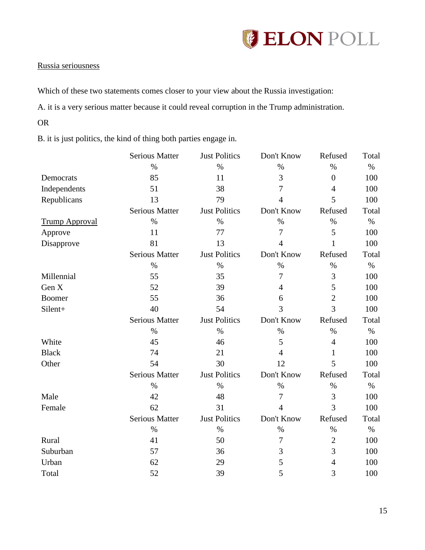

### Russia seriousness

Which of these two statements comes closer to your view about the Russia investigation:

A. it is a very serious matter because it could reveal corruption in the Trump administration.

OR

B. it is just politics, the kind of thing both parties engage in.

|                       | <b>Serious Matter</b> | <b>Just Politics</b> | Don't Know     | Refused        | Total |
|-----------------------|-----------------------|----------------------|----------------|----------------|-------|
|                       | $\%$                  | $\%$                 | $\%$           | $\%$           | $\%$  |
| Democrats             | 85                    | 11                   | 3              | $\overline{0}$ | 100   |
| Independents          | 51                    | 38                   | 7              | $\overline{4}$ | 100   |
| Republicans           | 13                    | 79                   | $\overline{4}$ | 5              | 100   |
|                       | <b>Serious Matter</b> | <b>Just Politics</b> | Don't Know     | Refused        | Total |
| <b>Trump Approval</b> | $\%$                  | $\%$                 | $\%$           | $\%$           | $\%$  |
| Approve               | 11                    | 77                   | 7              | 5              | 100   |
| Disapprove            | 81                    | 13                   | 4              | $\mathbf{1}$   | 100   |
|                       | <b>Serious Matter</b> | <b>Just Politics</b> | Don't Know     | Refused        | Total |
|                       | $\%$                  | $\%$                 | $\%$           | $\%$           | $\%$  |
| Millennial            | 55                    | 35                   | 7              | 3              | 100   |
| Gen X                 | 52                    | 39                   | 4              | 5              | 100   |
| Boomer                | 55                    | 36                   | 6              | $\overline{2}$ | 100   |
| Silent+               | 40                    | 54                   | 3              | 3              | 100   |
|                       | <b>Serious Matter</b> | <b>Just Politics</b> | Don't Know     | Refused        | Total |
|                       | $\%$                  | $\%$                 | $\%$           | $\%$           | $\%$  |
| White                 | 45                    | 46                   | 5              | $\overline{4}$ | 100   |
| <b>Black</b>          | 74                    | 21                   | $\overline{4}$ | $\mathbf{1}$   | 100   |
| Other                 | 54                    | 30                   | 12             | 5              | 100   |
|                       | <b>Serious Matter</b> | <b>Just Politics</b> | Don't Know     | Refused        | Total |
|                       | $\%$                  | $\%$                 | $\%$           | $\%$           | $\%$  |
| Male                  | 42                    | 48                   | 7              | 3              | 100   |
| Female                | 62                    | 31                   | $\overline{4}$ | 3              | 100   |
|                       | <b>Serious Matter</b> | <b>Just Politics</b> | Don't Know     | Refused        | Total |
|                       | $\%$                  | $\%$                 | $\%$           | $\%$           | $\%$  |
| Rural                 | 41                    | 50                   | 7              | $\overline{2}$ | 100   |
| Suburban              | 57                    | 36                   | 3              | 3              | 100   |
| Urban                 | 62                    | 29                   | 5              | $\overline{4}$ | 100   |
| Total                 | 52                    | 39                   | 5              | 3              | 100   |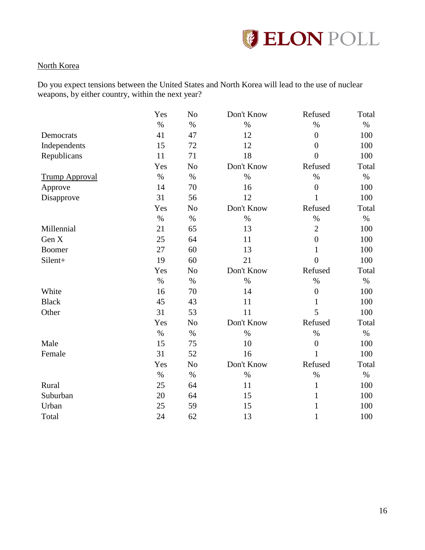

### North Korea

Do you expect tensions between the United States and North Korea will lead to the use of nuclear weapons, by either country, within the next year?

|                       | Yes  | N <sub>o</sub> | Don't Know | Refused          | Total |
|-----------------------|------|----------------|------------|------------------|-------|
|                       | $\%$ | $\%$           | $\%$       | $\%$             | $\%$  |
| Democrats             | 41   | 47             | 12         | $\boldsymbol{0}$ | 100   |
| Independents          | 15   | 72             | 12         | $\overline{0}$   | 100   |
| Republicans           | 11   | 71             | 18         | $\overline{0}$   | 100   |
|                       | Yes  | N <sub>o</sub> | Don't Know | Refused          | Total |
| <b>Trump Approval</b> | $\%$ | $\%$           | $\%$       | $\%$             | $\%$  |
| Approve               | 14   | 70             | 16         | $\overline{0}$   | 100   |
| Disapprove            | 31   | 56             | 12         | $\mathbf{1}$     | 100   |
|                       | Yes  | No             | Don't Know | Refused          | Total |
|                       | $\%$ | $\%$           | $\%$       | $\%$             | $\%$  |
| Millennial            | 21   | 65             | 13         | $\overline{2}$   | 100   |
| Gen X                 | 25   | 64             | 11         | $\overline{0}$   | 100   |
| <b>Boomer</b>         | 27   | 60             | 13         | $\mathbf{1}$     | 100   |
| Silent+               | 19   | 60             | 21         | $\overline{0}$   | 100   |
|                       | Yes  | N <sub>o</sub> | Don't Know | Refused          | Total |
|                       | $\%$ | $\%$           | $\%$       | $\%$             | $\%$  |
| White                 | 16   | 70             | 14         | $\boldsymbol{0}$ | 100   |
| <b>Black</b>          | 45   | 43             | 11         | 1                | 100   |
| Other                 | 31   | 53             | 11         | 5                | 100   |
|                       | Yes  | N <sub>o</sub> | Don't Know | Refused          | Total |
|                       | $\%$ | $\%$           | $\%$       | $\%$             | $\%$  |
| Male                  | 15   | 75             | 10         | $\overline{0}$   | 100   |
| Female                | 31   | 52             | 16         | $\mathbf{1}$     | 100   |
|                       | Yes  | N <sub>o</sub> | Don't Know | Refused          | Total |
|                       | $\%$ | $\%$           | $\%$       | $\%$             | $\%$  |
| Rural                 | 25   | 64             | 11         | $\mathbf{1}$     | 100   |
| Suburban              | 20   | 64             | 15         | $\mathbf{1}$     | 100   |
| Urban                 | 25   | 59             | 15         | 1                | 100   |
| Total                 | 24   | 62             | 13         | 1                | 100   |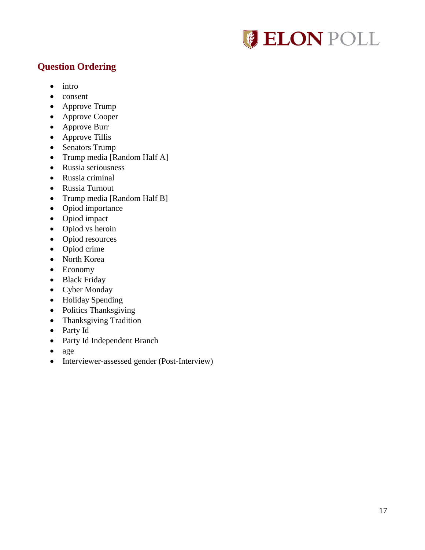

# <span id="page-17-0"></span>**Question Ordering**

- $\bullet$  intro
- consent
- Approve Trump
- Approve Cooper
- Approve Burr
- Approve Tillis
- Senators Trump
- Trump media [Random Half A]
- Russia seriousness
- Russia criminal
- Russia Turnout
- Trump media [Random Half B]
- Opiod importance
- Opiod impact
- Opiod vs heroin
- Opiod resources
- Opiod crime
- North Korea
- Economy
- Black Friday
- Cyber Monday
- Holiday Spending
- Politics Thanksgiving
- Thanksgiving Tradition
- Party Id
- Party Id Independent Branch
- age
- Interviewer-assessed gender (Post-Interview)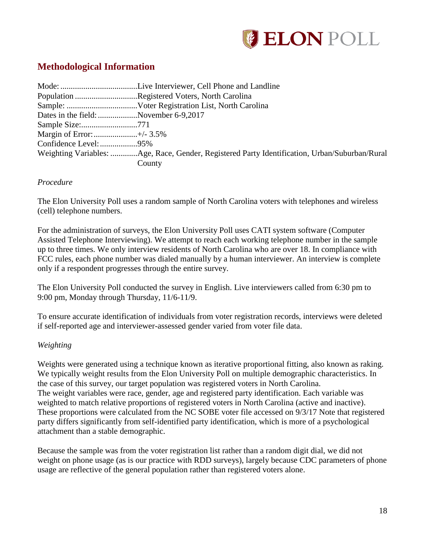

# <span id="page-18-0"></span>**Methodological Information**

|                                       | Population Registered Voters, North Carolina                                                  |
|---------------------------------------|-----------------------------------------------------------------------------------------------|
|                                       |                                                                                               |
| Dates in the field: November 6-9,2017 |                                                                                               |
|                                       |                                                                                               |
| Margin of Error:+/- 3.5%              |                                                                                               |
|                                       |                                                                                               |
|                                       | Weighting Variables: Age, Race, Gender, Registered Party Identification, Urban/Suburban/Rural |
|                                       | County                                                                                        |

### *Procedure*

The Elon University Poll uses a random sample of North Carolina voters with telephones and wireless (cell) telephone numbers.

For the administration of surveys, the Elon University Poll uses CATI system software (Computer Assisted Telephone Interviewing). We attempt to reach each working telephone number in the sample up to three times. We only interview residents of North Carolina who are over 18. In compliance with FCC rules, each phone number was dialed manually by a human interviewer. An interview is complete only if a respondent progresses through the entire survey.

The Elon University Poll conducted the survey in English. Live interviewers called from 6:30 pm to 9:00 pm, Monday through Thursday, 11/6-11/9.

To ensure accurate identification of individuals from voter registration records, interviews were deleted if self-reported age and interviewer-assessed gender varied from voter file data.

### *Weighting*

Weights were generated using a technique known as iterative proportional fitting, also known as raking. We typically weight results from the Elon University Poll on multiple demographic characteristics. In the case of this survey, our target population was registered voters in North Carolina. The weight variables were race, gender, age and registered party identification. Each variable was weighted to match relative proportions of registered voters in North Carolina (active and inactive). These proportions were calculated from the NC SOBE voter file accessed on 9/3/17 Note that registered party differs significantly from self-identified party identification, which is more of a psychological attachment than a stable demographic.

Because the sample was from the voter registration list rather than a random digit dial, we did not weight on phone usage (as is our practice with RDD surveys), largely because CDC parameters of phone usage are reflective of the general population rather than registered voters alone.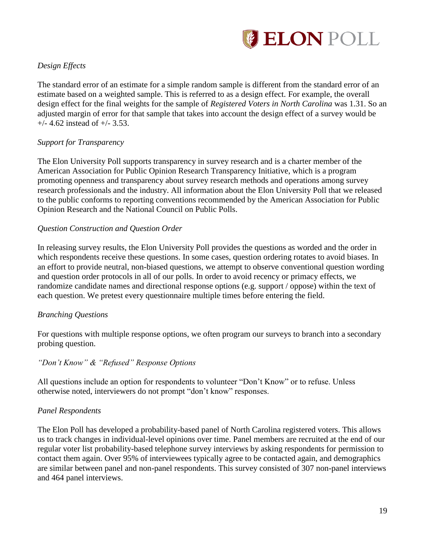

### *Design Effects*

The standard error of an estimate for a simple random sample is different from the standard error of an estimate based on a weighted sample. This is referred to as a design effect. For example, the overall design effect for the final weights for the sample of *Registered Voters in North Carolina* was 1.31. So an adjusted margin of error for that sample that takes into account the design effect of a survey would be  $+/-$  4.62 instead of  $+/-$  3.53.

### *Support for Transparency*

The Elon University Poll supports transparency in survey research and is a charter member of the American Association for Public Opinion Research Transparency Initiative, which is a program promoting openness and transparency about survey research methods and operations among survey research professionals and the industry. All information about the Elon University Poll that we released to the public conforms to reporting conventions recommended by the American Association for Public Opinion Research and the National Council on Public Polls.

### *Question Construction and Question Order*

In releasing survey results, the Elon University Poll provides the questions as worded and the order in which respondents receive these questions. In some cases, question ordering rotates to avoid biases. In an effort to provide neutral, non-biased questions, we attempt to observe conventional question wording and question order protocols in all of our polls. In order to avoid recency or primacy effects, we randomize candidate names and directional response options (e.g. support / oppose) within the text of each question. We pretest every questionnaire multiple times before entering the field.

### *Branching Questions*

For questions with multiple response options, we often program our surveys to branch into a secondary probing question.

### *"Don't Know" & "Refused" Response Options*

All questions include an option for respondents to volunteer "Don't Know" or to refuse. Unless otherwise noted, interviewers do not prompt "don't know" responses.

### *Panel Respondents*

The Elon Poll has developed a probability-based panel of North Carolina registered voters. This allows us to track changes in individual-level opinions over time. Panel members are recruited at the end of our regular voter list probability-based telephone survey interviews by asking respondents for permission to contact them again. Over 95% of interviewees typically agree to be contacted again, and demographics are similar between panel and non-panel respondents. This survey consisted of 307 non-panel interviews and 464 panel interviews.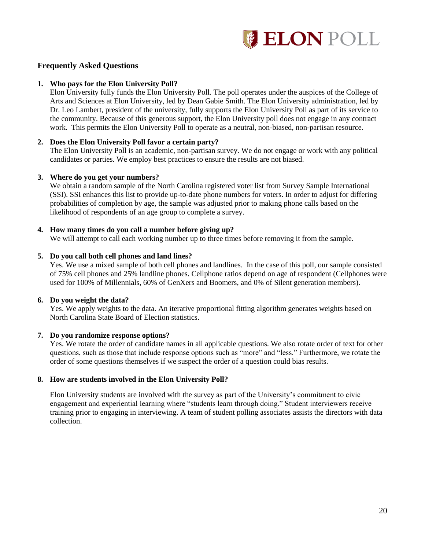

#### **Frequently Asked Questions**

#### **1. Who pays for the Elon University Poll?**

Elon University fully funds the Elon University Poll. The poll operates under the auspices of the College of Arts and Sciences at Elon University, led by Dean Gabie Smith. The Elon University administration, led by Dr. Leo Lambert, president of the university, fully supports the Elon University Poll as part of its service to the community. Because of this generous support, the Elon University poll does not engage in any contract work. This permits the Elon University Poll to operate as a neutral, non-biased, non-partisan resource.

#### **2. Does the Elon University Poll favor a certain party?**

The Elon University Poll is an academic, non-partisan survey. We do not engage or work with any political candidates or parties. We employ best practices to ensure the results are not biased.

#### **3. Where do you get your numbers?**

We obtain a random sample of the North Carolina registered voter list from Survey Sample International (SSI). SSI enhances this list to provide up-to-date phone numbers for voters. In order to adjust for differing probabilities of completion by age, the sample was adjusted prior to making phone calls based on the likelihood of respondents of an age group to complete a survey.

#### **4. How many times do you call a number before giving up?**

We will attempt to call each working number up to three times before removing it from the sample.

#### **5. Do you call both cell phones and land lines?**

Yes. We use a mixed sample of both cell phones and landlines. In the case of this poll, our sample consisted of 75% cell phones and 25% landline phones. Cellphone ratios depend on age of respondent (Cellphones were used for 100% of Millennials, 60% of GenXers and Boomers, and 0% of Silent generation members).

#### **6. Do you weight the data?**

Yes. We apply weights to the data. An iterative proportional fitting algorithm generates weights based on North Carolina State Board of Election statistics.

#### **7. Do you randomize response options?**

Yes. We rotate the order of candidate names in all applicable questions. We also rotate order of text for other questions, such as those that include response options such as "more" and "less." Furthermore, we rotate the order of some questions themselves if we suspect the order of a question could bias results.

#### **8. How are students involved in the Elon University Poll?**

Elon University students are involved with the survey as part of the University's commitment to civic engagement and experiential learning where "students learn through doing." Student interviewers receive training prior to engaging in interviewing. A team of student polling associates assists the directors with data collection.